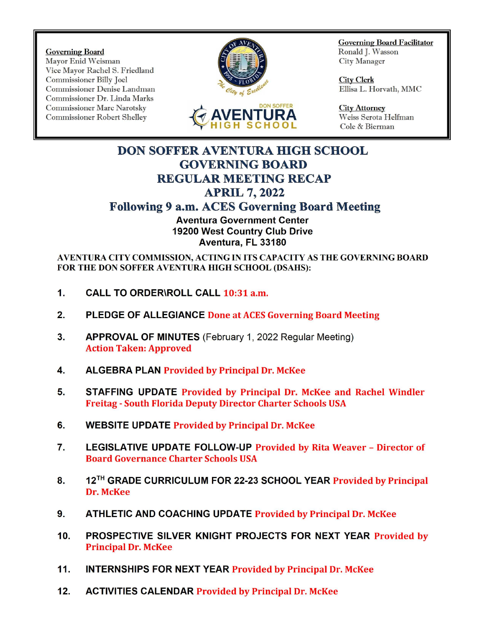Governing Board<br>Mayor Enid Weisman **Ronald J. Wasson**<br>Mayor Enid Weisman **Ronald J. Wasson** Governing Board<br>Mayor Enid Weisman Ronald J. Wa<br>Vice Mayor Rachel S. Friedland City Manager Vice Mayor Rachel S. Friedland Commissioner Billy Joel Commissioner Billy Joel View Commissioner Denise Landman City Clerk Commissioner Denise Landman Commissioner Denise Landman Commissioner Dr. Linda Marls Commissioner Marc Narotsky<br>
Commissioner Robert Shelley **AVENTURA** Weiss Serota Helfman





Governing Board Facilitator

Cole & Bierman

## DON SOFFER AVENTURA HIGH SCHOOL GOVERNING BOARD REGULAR MEETING RECAP APRIL 7, 2022

## Following 9 a.m. ACES Governing Board Meeting

Aventura Government Center 19200 West Country Club Drive Aventura, FL 33180

AVENTURA CITY COMMISSION, ACTING IN ITS CAPACITY AS THE GOVERNING BOARD FOR THE DON SOFFER AVENTURA HIGH SCHOOL (DSAHS):

- 1. CALL TO ORDER\ROLL CALL 10:31 a.m.
- 2. PLEDGE OF ALLEGIANCE Done at ACES Governing Board Meeting
- 3. APPROVAL OF MINUTES (February 1, 2022 Regular Meeting) Action Taken: Approved
- 4. ALGEBRA PLAN Provided by Principal Dr. McKee
- 5. STAFFING UPDATE Provided by Principal Dr. McKee and Rachel Windler Freitag - South Florida Deputy Director Charter Schools USA
- 6. WEBSITE UPDATE Provided by Principal Dr. McKee
- 7. LEGISLATIVE UPDATE FOLLOW- UP Provided by Rita Weaver Director of Board Governance Charter Schools USA
- 8. 12<sup>TH</sup> GRADE CURRICULUM FOR 22-23 SCHOOL YEAR Provided by Principal Dr. McKee
- 9. ATHLETIC AND COACHING UPDATE Provided by Principal Dr. McKee
- 10. PROSPECTIVE SILVER KNIGHT PROJECTS FOR NEXT YEAR Provided by Principal Dr. McKee
- 11. INTERNSHIPS FOR NEXT YEAR Provided by Principal Dr. McKee
- 12. ACTIVITIES CALENDAR Provided by Principal Dr. McKee